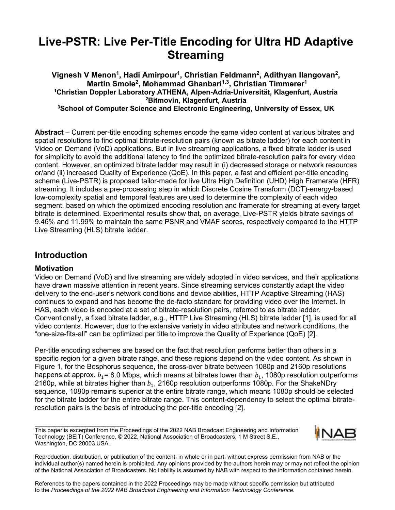# **Live-PSTR: Live Per-Title Encoding for Ultra HD Adaptive Streaming**

**Vignesh V Menon1, Hadi Amirpour1, Christian Feldmann2, Adithyan Ilangovan2, Martin Smole2, Mohammad Ghanbari1,3, Christian Timmerer1 1 Christian Doppler Laboratory ATHENA, Alpen-Adria-Universität, Klagenfurt, Austria 2 Bitmovin, Klagenfurt, Austria 3 School of Computer Science and Electronic Engineering, University of Essex, UK**

**Abstract** – Current per-title encoding schemes encode the same video content at various bitrates and spatial resolutions to find optimal bitrate-resolution pairs (known as bitrate ladder) for each content in Video on Demand (VoD) applications. But in live streaming applications, a fixed bitrate ladder is used for simplicity to avoid the additional latency to find the optimized bitrate-resolution pairs for every video content. However, an optimized bitrate ladder may result in (i) decreased storage or network resources or/and (ii) increased Quality of Experience (QoE). In this paper, a fast and efficient per-title encoding scheme (Live-PSTR) is proposed tailor-made for live Ultra High Definition (UHD) High Framerate (HFR) streaming. It includes a pre-processing step in which Discrete Cosine Transform (DCT)-energy-based low-complexity spatial and temporal features are used to determine the complexity of each video segment, based on which the optimized encoding resolution and framerate for streaming at every target bitrate is determined. Experimental results show that, on average, Live-PSTR yields bitrate savings of 9.46% and 11.99% to maintain the same PSNR and VMAF scores, respectively compared to the HTTP Live Streaming (HLS) bitrate ladder.

## **Introduction**

### **Motivation**

Video on Demand (VoD) and live streaming are widely adopted in video services, and their applications have drawn massive attention in recent years. Since streaming services constantly adapt the video delivery to the end-user's network conditions and device abilities, HTTP Adaptive Streaming (HAS) continues to expand and has become the de-facto standard for providing video over the Internet. In HAS, each video is encoded at a set of bitrate-resolution pairs, referred to as bitrate ladder. Conventionally, a fixed bitrate ladder, e.g., HTTP Live Streaming (HLS) bitrate ladder [1], is used for all video contents. However, due to the extensive variety in video attributes and network conditions, the "one-size-fits-all" can be optimized per title to improve the Quality of Experience (QoE) [2].

Per-title encoding schemes are based on the fact that resolution performs better than others in a specific region for a given bitrate range, and these regions depend on the video content. As shown in Figure 1, for the Bosphorus sequence, the cross-over bitrate between 1080p and 2160p resolutions happens at approx.  $b_1$  = 8.0 Mbps, which means at bitrates lower than  $b_1$ , 1080p resolution outperforms 2160p, while at bitrates higher than  $b_1$ , 2160p resolution outperforms 1080p. For the ShakeNDry sequence, 1080p remains superior at the entire bitrate range, which means 1080p should be selected for the bitrate ladder for the entire bitrate range. This content-dependency to select the optimal bitrateresolution pairs is the basis of introducing the per-title encoding [2].

This paper is excerpted from the Proceedings of the 2022 NAB Broadcast Engineering and Information Technology (BEIT) Conference, © 2022, National Association of Broadcasters, 1 M Street S.E., Washington, DC 20003 USA.



Reproduction, distribution, or publication of the content, in whole or in part, without express permission from NAB or the individual author(s) named herein is prohibited. Any opinions provided by the authors herein may or may not reflect the opinion of the National Association of Broadcasters. No liability is assumed by NAB with respect to the information contained herein.

References to the papers contained in the 2022 Proceedings may be made without specific permission but attributed to the *Proceedings of the 2022 NAB Broadcast Engineering and Information Technology Conference.*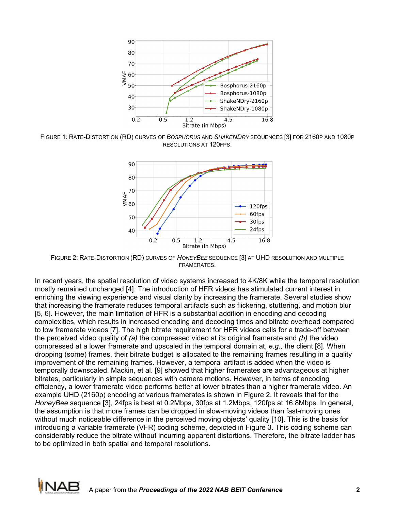

FIGURE 1: RATE-DISTORTION (RD) CURVES OF *BOSPHORUS* AND *SHAKENDRY* SEQUENCES [3] FOR 2160P AND 1080P RESOLUTIONS AT 120FPS.



FIGURE 2: RATE-DISTORTION (RD) CURVES OF *HONEYBEE* SEQUENCE [3] AT UHD RESOLUTION AND MULTIPLE FRAMERATES.

In recent years, the spatial resolution of video systems increased to 4K/8K while the temporal resolution mostly remained unchanged [4]. The introduction of HFR videos has stimulated current interest in enriching the viewing experience and visual clarity by increasing the framerate. Several studies show that increasing the framerate reduces temporal artifacts such as flickering, stuttering, and motion blur [5, 6]. However, the main limitation of HFR is a substantial addition in encoding and decoding complexities, which results in increased encoding and decoding times and bitrate overhead compared to low framerate videos [7]. The high bitrate requirement for HFR videos calls for a trade-off between the perceived video quality of *(a)* the compressed video at its original framerate and *(b)* the video compressed at a lower framerate and upscaled in the temporal domain at, *e.g.,* the client [8]. When dropping (some) frames, their bitrate budget is allocated to the remaining frames resulting in a quality improvement of the remaining frames. However, a temporal artifact is added when the video is temporally downscaled. Mackin, et al. [9] showed that higher framerates are advantageous at higher bitrates, particularly in simple sequences with camera motions. However, in terms of encoding efficiency, a lower framerate video performs better at lower bitrates than a higher framerate video. An example UHD (2160p) encoding at various framerates is shown in Figure 2. It reveals that for the *HoneyBee* sequence [3], 24fps is best at 0.2Mbps, 30fps at 1.2Mbps, 120fps at 16.8Mbps. In general, the assumption is that more frames can be dropped in slow-moving videos than fast-moving ones without much noticeable difference in the perceived moving objects' quality [10]. This is the basis for introducing a variable framerate (VFR) coding scheme, depicted in Figure 3. This coding scheme can considerably reduce the bitrate without incurring apparent distortions. Therefore, the bitrate ladder has to be optimized in both spatial and temporal resolutions.

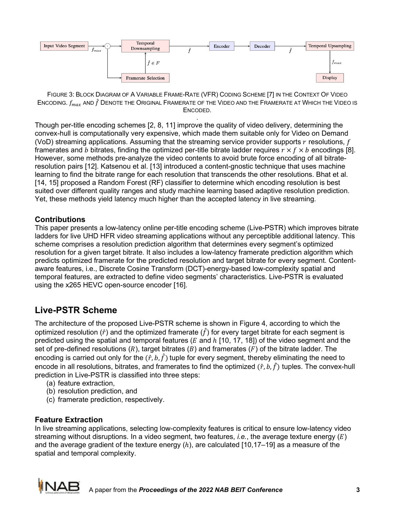

FIGURE 3: BLOCK DIAGRAM OF A VARIABLE FRAME-RATE (VFR) CODING SCHEME [7] IN THE CONTEXT OF VIDEO ENCODING.  $f_{max}$  and  $\hat{f}$  Denote the Original Framerate of the Video and the Framerate at Which the Video is ENCODED.

. Though per-title encoding schemes [2, 8, 11] improve the quality of video delivery, determining the convex-hull is computationally very expensive, which made them suitable only for Video on Demand (VoD) streaming applications. Assuming that the streaming service provider supports  $r$  resolutions,  $f$ framerates and *b* bitrates, finding the optimized per-title bitrate ladder requires  $r \times f \times b$  encodings [8]. However, some methods pre-analyze the video contents to avoid brute force encoding of all bitrateresolution pairs [12]. Katsenou et al. [13] introduced a content-gnostic technique that uses machine learning to find the bitrate range for each resolution that transcends the other resolutions. Bhat et al. [14, 15] proposed a Random Forest (RF) classifier to determine which encoding resolution is best suited over different quality ranges and study machine learning based adaptive resolution prediction. Yet, these methods yield latency much higher than the accepted latency in live streaming.

## **Contributions**

This paper presents a low-latency online per-title encoding scheme (Live-PSTR) which improves bitrate ladders for live UHD HFR video streaming applications without any perceptible additional latency. This scheme comprises a resolution prediction algorithm that determines every segment's optimized resolution for a given target bitrate. It also includes a low-latency framerate prediction algorithm which predicts optimized framerate for the predicted resolution and target bitrate for every segment. Contentaware features, i.e., Discrete Cosine Transform (DCT)-energy-based low-complexity spatial and temporal features, are extracted to define video segments' characteristics. Live-PSTR is evaluated using the x265 HEVC open-source encoder [16].

## **Live-PSTR Scheme**

The architecture of the proposed Live-PSTR scheme is shown in Figure 4, according to which the optimized resolution ( $\hat{r}$ ) and the optimized framerate ( $\hat{f}$ ) for every target bitrate for each segment is predicted using the spatial and temporal features ( $E$  and  $h$  [10, 17, 18]) of the video segment and the set of pre-defined resolutions  $(R)$ , target bitrates  $(B)$  and framerates  $(F)$  of the bitrate ladder. The encoding is carried out only for the  $(\hat{r}, b, \hat{f})$  tuple for every segment, thereby eliminating the need to encode in all resolutions, bitrates, and framerates to find the optimized  $(\hat{r}, b, \hat{f})$  tuples. The convex-hull prediction in Live-PSTR is classified into three steps:

- (a) feature extraction,
- (b) resolution prediction, and
- (c) framerate prediction, respectively.

### **Feature Extraction**

In live streaming applications, selecting low-complexity features is critical to ensure low-latency video streaming without disruptions. In a video segment, two features, *i.e.*, the average texture energy  $(E)$ and the average gradient of the texture energy  $(h)$ , are calculated  $[10, 17-19]$  as a measure of the spatial and temporal complexity.

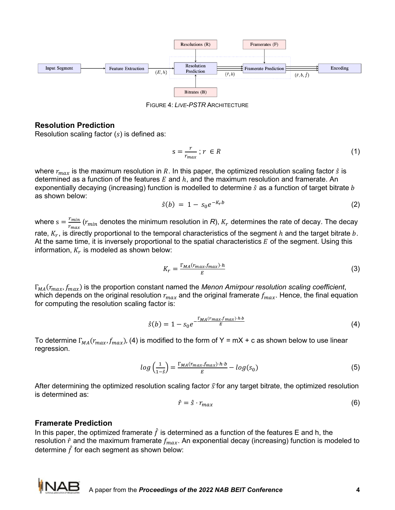

FIGURE 4: *LIVE-PSTR* ARCHITECTURE

#### **Resolution Prediction**

Resolution scaling factor  $(s)$  is defined as:

$$
s = \frac{r}{r_{max}} \, ; \, r \in R \tag{1}
$$

where  $r_{max}$  is the maximum resolution in R. In this paper, the optimized resolution scaling factor  $\hat{s}$  is determined as a function of the features  $E$  and  $h$ , and the maximum resolution and framerate. An exponentially decaying (increasing) function is modelled to determine  $\hat{s}$  as a function of target bitrate  $b$ as shown below:

$$
\hat{s}(b) = 1 - s_0 e^{-K_r b} \tag{2}
$$

where  $s = \frac{r_{min}}{r_{max}}$  ( $r_{min}$  denotes the minimum resolution in *R*),  $K_r$  determines the rate of decay. The decay rate,  $K_r$ , is directly proportional to the temporal characteristics of the segment  $h$  and the target bitrate  $b$ . At the same time, it is inversely proportional to the spatial characteristics  $E$  of the segment. Using this information,  $K_r$  is modeled as shown below:

$$
K_r = \frac{\Gamma_{MA}(r_{max}, f_{max}) \cdot h}{E} \tag{3}
$$

 $\Gamma_{MA}(r_{max}, f_{max})$  is the proportion constant named the *Menon Amirpour resolution scaling coefficient*, which depends on the original resolution  $r_{max}$  and the original framerate  $f_{max}$ . Hence, the final equation for computing the resolution scaling factor is:

$$
\hat{s}(b) = 1 - s_0 e^{-\frac{\Gamma_{MA}(r_{max}f_{max}) \cdot h \cdot b}{E}}
$$
\n(4)

To determine  $\Gamma_{MA}(r_{max}, f_{max})$ , (4) is modified to the form of Y = mX + c as shown below to use linear regression.

$$
log\left(\frac{1}{1-\hat{s}}\right) = \frac{\Gamma_{MA}(r_{max}, f_{max}) \cdot h \cdot b}{E} - log(s_0)
$$
\n(5)

After determining the optimized resolution scaling factor  $\hat{s}$  for any target bitrate, the optimized resolution is determined as:

$$
\hat{r} = \hat{s} \cdot r_{max} \tag{6}
$$

#### **Framerate Prediction**

In this paper, the optimized framerate  $\hat{f}$  is determined as a function of the features E and h, the resolution  $\hat{r}$  and the maximum framerate  $f_{max}$ . An exponential decay (increasing) function is modeled to determine  $\hat{f}$  for each segment as shown below: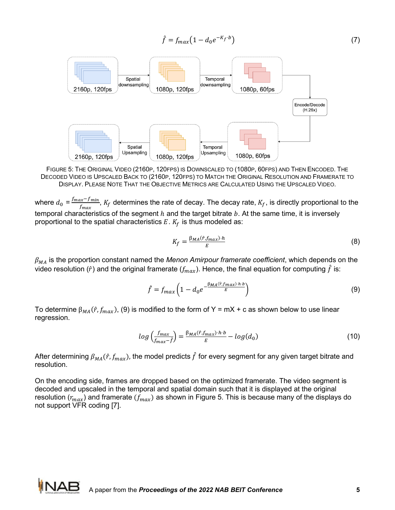$$
\hat{f} = f_{max} \left( 1 - d_0 e^{-K_f \cdot b} \right) \tag{7}
$$



FIGURE 5: THE ORIGINAL VIDEO (2160P, 120FPS) IS DOWNSCALED TO (1080P, 60FPS) AND THEN ENCODED. THE DECODED VIDEO IS UPSCALED BACK TO (2160P, 120FPS) TO MATCH THE ORIGINAL RESOLUTION AND FRAMERATE TO DISPLAY. PLEASE NOTE THAT THE OBJECTIVE METRICS ARE CALCULATED USING THE UPSCALED VIDEO.

where  $d_0 = \frac{f_{max} - f_{min}}{f_{max}}$ ,  $K_f$  determines the rate of decay. The decay rate,  $K_f$ , is directly proportional to the temporal characteristics of the segment  $h$  and the target bitrate  $b$ . At the same time, it is inversely proportional to the spatial characteristics  $E$ .  $K_f$  is thus modeled as:

$$
K_f = \frac{\beta_{MA}(\hat{r}, f_{max}) \cdot h}{E} \tag{8}
$$

 $\beta_{MA}$  is the proportion constant named the *Menon Amirpour framerate coefficient*, which depends on the video resolution ( $\hat{r}$ ) and the original framerate ( $f_{max}$ ). Hence, the final equation for computing  $\hat{f}$  is:

$$
\hat{f} = f_{max} \left( 1 - d_0 e^{-\frac{\beta_{MA}(\hat{r}, f_{max}) \cdot h \cdot b}{E}} \right)
$$
\n(9)

To determine  $\beta_{MA}(\hat{r}, f_{max})$ , (9) is modified to the form of Y = mX + c as shown below to use linear regression.

$$
log\left(\frac{f_{max}}{f_{max}-\hat{f}}\right) = \frac{\beta_{MA}(\hat{r}, f_{max}) \cdot h \cdot b}{E} - log(d_0)
$$
\n(10)

After determining  $\beta_{MA}(\hat{r}, f_{max})$ , the model predicts  $\hat{f}$  for every segment for any given target bitrate and resolution.

On the encoding side, frames are dropped based on the optimized framerate. The video segment is decoded and upscaled in the temporal and spatial domain such that it is displayed at the original resolution ( $r_{max}$ ) and framerate ( $f_{max}$ ) as shown in Figure 5. This is because many of the displays do not support VFR coding [7].

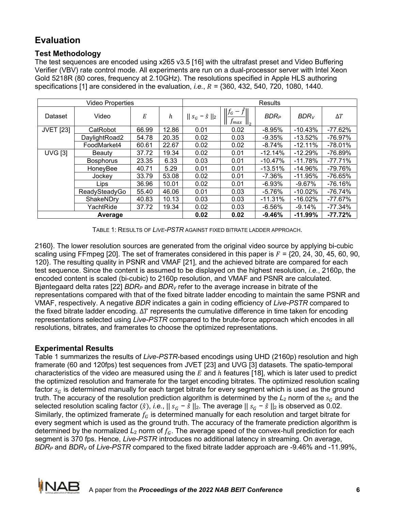# **Evaluation**

## **Test Methodology**

The test sequences are encoded using x265 v3.5 [16] with the ultrafast preset and Video Buffering Verifier (VBV) rate control mode. All experiments are run on a dual-processor server with Intel Xeon Gold 5218R (80 cores, frequency at 2.10GHz). The resolutions specified in Apple HLS authoring specifications [1] are considered in the evaluation, *i.e.*,  $R = \{360, 432, 540, 720, 1080, 1440\}$ .

| Video Properties |                  |       |       | <b>Results</b>          |                                |           |            |            |
|------------------|------------------|-------|-------|-------------------------|--------------------------------|-----------|------------|------------|
| Dataset          | Video            | Е     | h     | $   s_G - \hat{s}   _2$ | $  f_G - \hat{f}  $<br>$J$ max | $BDR_P$   | $BDR_V$    | $\Delta T$ |
| <b>JVET [23]</b> | CatRobot         | 66.99 | 12.86 | 0.01                    | 0.02                           | $-8.95%$  | $-10.43%$  | $-77.62%$  |
|                  | DaylightRoad2    | 54.78 | 20.35 | 0.02                    | 0.03                           | $-9.35%$  | $-13.52%$  | $-76.97%$  |
|                  | FoodMarket4      | 60.61 | 22.67 | 0.02                    | 0.02                           | $-8.74%$  | $-12.11%$  | $-78.01%$  |
| <b>UVG [3]</b>   | Beauty           | 37.72 | 19.34 | 0.02                    | 0.01                           | $-12.14%$ | $-12.29%$  | $-76.89%$  |
|                  | <b>Bosphorus</b> | 23.35 | 6.33  | 0.03                    | 0.01                           | $-10.47%$ | $-11.78%$  | $-77.71%$  |
|                  | HoneyBee         | 40.71 | 5.29  | 0.01                    | 0.01                           | $-13.51%$ | $-14.96%$  | -79.76%    |
|                  | Jockey           | 33.79 | 53.08 | 0.02                    | 0.01                           | $-7.36\%$ | $-11.95%$  | $-76.65%$  |
|                  | Lips             | 36.96 | 10.01 | 0.02                    | 0.01                           | $-6.93%$  | $-9.67\%$  | $-76.16%$  |
|                  | ReadySteadyGo    | 55.40 | 46.06 | 0.01                    | 0.03                           | $-5.76%$  | $-10.02%$  | $-76.74%$  |
|                  | ShakeNDry        | 40.83 | 10.13 | 0.03                    | 0.03                           | $-11.31%$ | $-16.02%$  | $-77.67%$  |
|                  | YachtRide        | 37.72 | 19.34 | 0.02                    | 0.03                           | $-6.56%$  | $-9.14%$   | $-77.34%$  |
| Average          |                  |       |       | 0.02                    | 0.02                           | $-9.46%$  | $-11.99\%$ | $-77.72%$  |

TABLE 1: RESULTS OF *LIVE-PSTR* AGAINST FIXED BITRATE LADDER APPROACH.

2160}. The lower resolution sources are generated from the original video source by applying bi-cubic scaling using FFmpeg [20]. The set of framerates considered in this paper is = {20, 24, 30, 45, 60, 90, 120}. The resulting quality in PSNR and VMAF [21], and the achieved bitrate are compared for each test sequence. Since the content is assumed to be displayed on the highest resolution, *i.e.*, 2160p, the encoded content is scaled (bi-cubic) to 2160p resolution, and VMAF and PSNR are calculated. Bjøntegaard delta rates [22] *BDRP* and *BDRV* refer to the average increase in bitrate of the representations compared with that of the fixed bitrate ladder encoding to maintain the same PSNR and VMAF, respectively. A negative *BDR* indicates a gain in coding efficiency of *Live-PSTR* compared to the fixed bitrate ladder encoding. ∆T represents the cumulative difference in time taken for encoding representations selected using *Live-PSTR* compared to the brute-force approach which encodes in all resolutions, bitrates, and framerates to choose the optimized representations.

## **Experimental Results**

Table 1 summarizes the results of *Live-PSTR*-based encodings using UHD (2160p) resolution and high framerate (60 and 120fps) test sequences from JVET [23] and UVG [3] datasets. The spatio-temporal characteristics of the video are measured using the  $E$  and  $h$  features [18], which is later used to predict the optimized resolution and framerate for the target encoding bitrates. The optimized resolution scaling factor  $s_G$  is determined manually for each target bitrate for every segment which is used as the ground truth. The accuracy of the resolution prediction algorithm is determined by the  $L_2$  norm of the  $s_G$  and the selected resolution scaling factor  $(\hat{s})$ , *i.e.*,  $|| s_G - \hat{s} ||_2$ . The average  $|| s_G - \hat{s} ||_2$  is observed as 0.02. Similarly, the optimized framerate  $f_G$  is determined manually for each resolution and target bitrate for every segment which is used as the ground truth. The accuracy of the framerate prediction algorithm is determined by the normalized  $L_2$  norm of  $f_G$ . The average speed of the convex-hull prediction for each segment is 370 fps. Hence, *Live-PSTR* introduces no additional latency in streaming. On average, *BDRP* and *BDRV* of *Live-PSTR* compared to the fixed bitrate ladder approach are -9.46% and -11.99%,

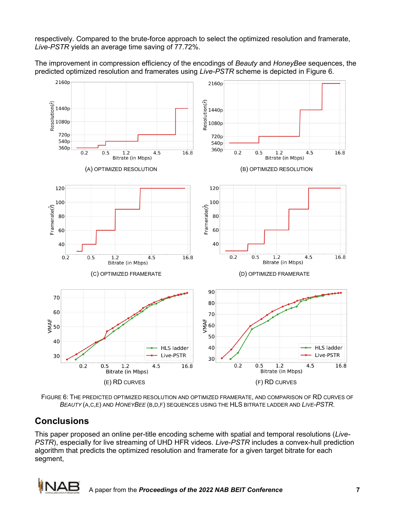respectively. Compared to the brute-force approach to select the optimized resolution and framerate, *Live-PSTR* yields an average time saving of 77.72%.

The improvement in compression efficiency of the encodings of *Beauty* and *HoneyBee* sequences, the predicted optimized resolution and framerates using *Live-PSTR* scheme is depicted in Figure 6.



FIGURE 6: THE PREDICTED OPTIMIZED RESOLUTION AND OPTIMIZED FRAMERATE, AND COMPARISON OF RD CURVES OF *BEAUTY* (A,C,E) AND *HONEYBEE* (B,D,F) SEQUENCES USING THE HLS BITRATE LADDER AND *LIVE-PSTR*.

# **Conclusions**

This paper proposed an online per-title encoding scheme with spatial and temporal resolutions (*Live-PSTR*), especially for live streaming of UHD HFR videos. *Live-PSTR* includes a convex-hull prediction algorithm that predicts the optimized resolution and framerate for a given target bitrate for each segment,

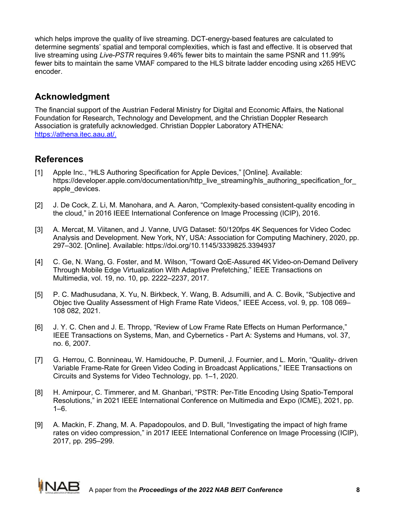which helps improve the quality of live streaming. DCT-energy-based features are calculated to determine segments' spatial and temporal complexities, which is fast and effective. It is observed that live streaming using *Live-PSTR* requires 9.46% fewer bits to maintain the same PSNR and 11.99% fewer bits to maintain the same VMAF compared to the HLS bitrate ladder encoding using x265 HEVC encoder.

# **Acknowledgment**

The financial support of the Austrian Federal Ministry for Digital and Economic Affairs, the National Foundation for Research, Technology and Development, and the Christian Doppler Research Association is gratefully acknowledged. Christian Doppler Laboratory ATHENA: [https://athena.itec.aau.at/.](https://athena.itec.aau.at/)

# **References**

- [1] Apple Inc., "HLS Authoring Specification for Apple Devices," [Online]. Available: https://developer.apple.com/documentation/http\_live\_streaming/hls\_authoring\_specification\_for [apple\\_devices.](https://developer.apple.com/documentation/http_live_streaming/hls_authoring_specification_for_apple_devices)
- [2] J. De Cock, Z. Li, M. Manohara, and A. Aaron, "Complexity-based consistent-quality encoding in the cloud," in 2016 IEEE International Conference on Image Processing (ICIP), 2016.
- [3] A. Mercat, M. Viitanen, and J. Vanne, UVG Dataset: 50/120fps 4K Sequences for Video Codec Analysis and Development. New York, NY, USA: Association for Computing Machinery, 2020, pp. 297–302. [Online]. Available:<https://doi.org/10.1145/3339825.3394937>
- [4] C. Ge, N. Wang, G. Foster, and M. Wilson, "Toward QoE-Assured 4K Video-on-Demand Delivery Through Mobile Edge Virtualization With Adaptive Prefetching," IEEE Transactions on Multimedia, vol. 19, no. 10, pp. 2222–2237, 2017.
- [5] P. C. Madhusudana, X. Yu, N. Birkbeck, Y. Wang, B. Adsumilli, and A. C. Bovik, "Subjective and Objec tive Quality Assessment of High Frame Rate Videos," IEEE Access, vol. 9, pp. 108 069– 108 082, 2021.
- [6] J. Y. C. Chen and J. E. Thropp, "Review of Low Frame Rate Effects on Human Performance," IEEE Transactions on Systems, Man, and Cybernetics - Part A: Systems and Humans, vol. 37, no. 6, 2007.
- [7] G. Herrou, C. Bonnineau, W. Hamidouche, P. Dumenil, J. Fournier, and L. Morin, "Quality- driven Variable Frame-Rate for Green Video Coding in Broadcast Applications," IEEE Transactions on Circuits and Systems for Video Technology, pp. 1–1, 2020.
- [8] H. Amirpour, C. Timmerer, and M. Ghanbari, "PSTR: Per-Title Encoding Using Spatio-Temporal Resolutions," in 2021 IEEE International Conference on Multimedia and Expo (ICME), 2021, pp.  $1-6.$
- [9] A. Mackin, F. Zhang, M. A. Papadopoulos, and D. Bull, "Investigating the impact of high frame rates on video compression," in 2017 IEEE International Conference on Image Processing (ICIP), 2017, pp. 295–299.